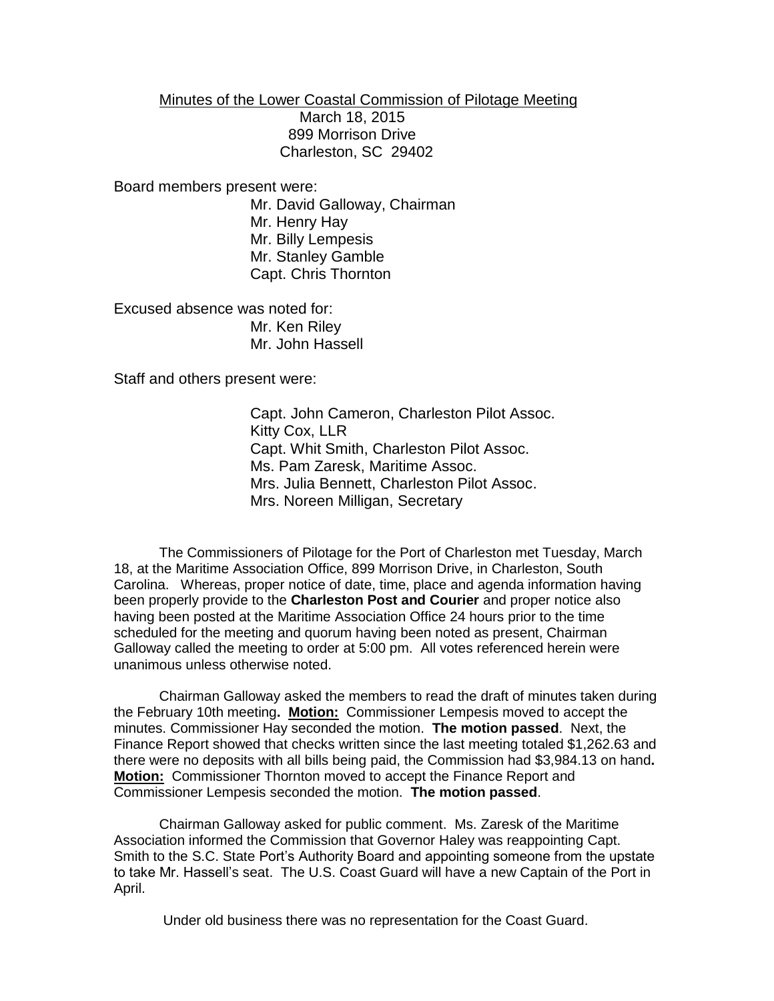Minutes of the Lower Coastal Commission of Pilotage Meeting March 18, 2015 899 Morrison Drive Charleston, SC 29402

Board members present were:

Mr. David Galloway, Chairman Mr. Henry Hay Mr. Billy Lempesis Mr. Stanley Gamble Capt. Chris Thornton

Excused absence was noted for: Mr. Ken Riley Mr. John Hassell

Staff and others present were:

Capt. John Cameron, Charleston Pilot Assoc. Kitty Cox, LLR Capt. Whit Smith, Charleston Pilot Assoc. Ms. Pam Zaresk, Maritime Assoc. Mrs. Julia Bennett, Charleston Pilot Assoc. Mrs. Noreen Milligan, Secretary

The Commissioners of Pilotage for the Port of Charleston met Tuesday, March 18, at the Maritime Association Office, 899 Morrison Drive, in Charleston, South Carolina. Whereas, proper notice of date, time, place and agenda information having been properly provide to the **Charleston Post and Courier** and proper notice also having been posted at the Maritime Association Office 24 hours prior to the time scheduled for the meeting and quorum having been noted as present, Chairman Galloway called the meeting to order at 5:00 pm. All votes referenced herein were unanimous unless otherwise noted.

Chairman Galloway asked the members to read the draft of minutes taken during the February 10th meeting**. Motion:** Commissioner Lempesis moved to accept the minutes. Commissioner Hay seconded the motion. **The motion passed**. Next, the Finance Report showed that checks written since the last meeting totaled \$1,262.63 and there were no deposits with all bills being paid, the Commission had \$3,984.13 on hand**. Motion:** Commissioner Thornton moved to accept the Finance Report and Commissioner Lempesis seconded the motion. **The motion passed**.

Chairman Galloway asked for public comment. Ms. Zaresk of the Maritime Association informed the Commission that Governor Haley was reappointing Capt. Smith to the S.C. State Port's Authority Board and appointing someone from the upstate to take Mr. Hassell's seat. The U.S. Coast Guard will have a new Captain of the Port in April.

Under old business there was no representation for the Coast Guard.